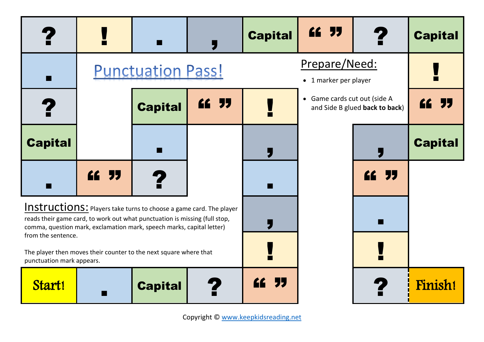|                                                                                                                                                                                                                                  | <b>Tarix</b> | $\blacksquare$ | 5     | <b>Capital</b>                         | ££ 55                        |                                | <b>Capital</b> |
|----------------------------------------------------------------------------------------------------------------------------------------------------------------------------------------------------------------------------------|--------------|----------------|-------|----------------------------------------|------------------------------|--------------------------------|----------------|
| <b>Punctuation Pass!</b><br>$\blacksquare$                                                                                                                                                                                       |              |                |       | Prepare/Need:<br>• 1 marker per player |                              | <b>COL</b>                     |                |
| 2                                                                                                                                                                                                                                |              | <b>Capital</b> | ££ 55 |                                        | • Game cards cut out (side A | and Side B glued back to back) | ££ 55          |
| <b>Capital</b>                                                                                                                                                                                                                   |              | m              |       |                                        |                              |                                | <b>Capital</b> |
| $\blacksquare$                                                                                                                                                                                                                   | ££ 55        | ?              |       | w                                      |                              | ££ 55                          |                |
| <b>Instructions:</b> Players take turns to choose a game card. The player<br>reads their game card, to work out what punctuation is missing (full stop,<br>comma, question mark, exclamation mark, speech marks, capital letter) |              |                |       |                                        | ٠H                           |                                |                |
| from the sentence.<br>The player then moves their counter to the next square where that<br>punctuation mark appears.                                                                                                             |              |                |       |                                        |                              |                                |                |
| Start!                                                                                                                                                                                                                           |              | <b>Capital</b> |       | <b>"</b>                               |                              |                                | Finish!        |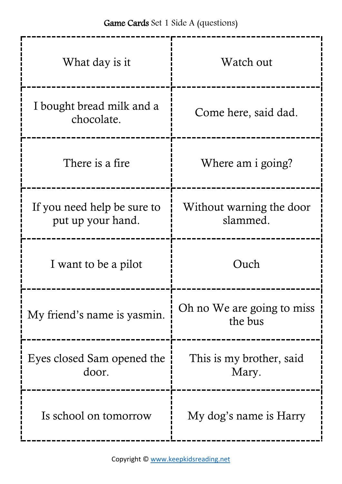| What day is it                                   | Watch out                             |
|--------------------------------------------------|---------------------------------------|
| I bought bread milk and a<br>chocolate.          | Come here, said dad.                  |
| There is a fire                                  | Where am i going?                     |
| If you need help be sure to<br>put up your hand. | Without warning the door<br>slammed.  |
| I want to be a pilot                             | Ouch                                  |
| My friend's name is yasmin.                      | Oh no We are going to miss<br>the bus |
| Eyes closed Sam opened the<br>door.              | This is my brother, said<br>Mary.     |
| Is school on tomorrow                            | My dog's name is Harry                |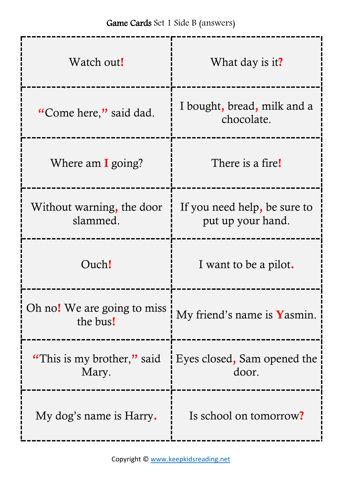-------------

-----

-----

| Watch out!                              | What day is it?                                   |
|-----------------------------------------|---------------------------------------------------|
| "Come here," said dad.                  | I bought, bread, milk and a<br>chocolate.         |
| Where am $\bf{I}$ going?                | There is a fire!                                  |
| Without warning, the door<br>slammed.   | If you need help, be sure to<br>put up your hand. |
| Ouch!                                   | I want to be a pilot.                             |
| Oh no! We are going to miss<br>the bus! | My friend's name is Yasmin.                       |
| "This is my brother," said<br>Mary.     | Eyes closed, Sam opened the<br>door.              |
| My dog's name is Harry.                 | Is school on tomorrow?                            |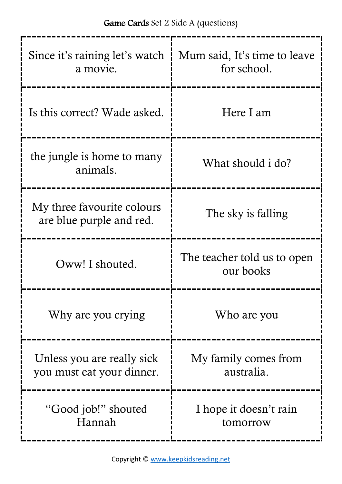| Since it's raining let's watch<br>a movie.              | Mum said, It's time to leave<br>for school. |  |
|---------------------------------------------------------|---------------------------------------------|--|
| Is this correct? Wade asked.                            | Here I am                                   |  |
| the jungle is home to many<br>animals.                  | What should i do?                           |  |
| My three favourite colours<br>are blue purple and red.  | The sky is falling                          |  |
| Oww! I shouted.                                         | The teacher told us to open<br>our books    |  |
| Why are you crying                                      | Who are you                                 |  |
| Unless you are really sick<br>you must eat your dinner. | My family comes from<br>australia.          |  |
| "Good job!" shouted<br>Hannah                           | I hope it doesn't rain<br>tomorrow          |  |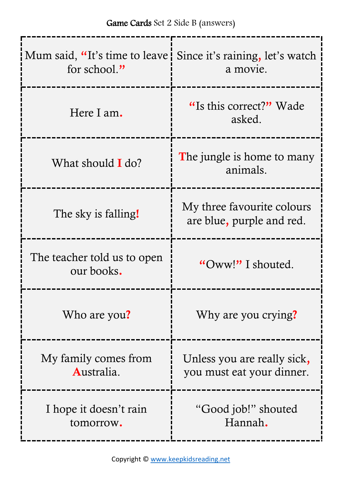| Mum said, "It's time to leave Since it's raining, let's watch<br>for school." | a movie.                                                 |
|-------------------------------------------------------------------------------|----------------------------------------------------------|
| Here I am.                                                                    | "Is this correct?" Wade<br>asked.                        |
| What should <b>I</b> do?                                                      | The jungle is home to many<br>animals.                   |
| The sky is falling!                                                           | My three favourite colours<br>are blue, purple and red.  |
| The teacher told us to open<br>our books.                                     | "Oww!" I shouted.                                        |
| Who are you?                                                                  | Why are you crying?                                      |
| My family comes from<br>Australia.                                            | Unless you are really sick,<br>you must eat your dinner. |
| I hope it doesn't rain<br>tomorrow.                                           | "Good job!" shouted<br>Hannah.                           |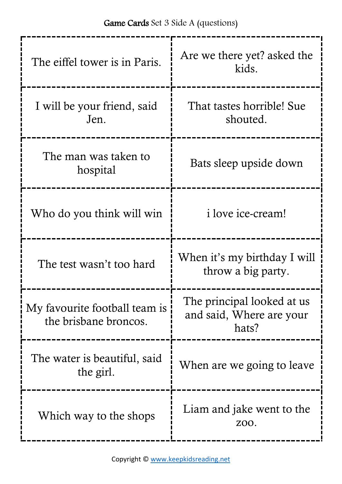| The eiffel tower is in Paris.                          | Are we there yet? asked the<br>kids.                            |  |
|--------------------------------------------------------|-----------------------------------------------------------------|--|
| I will be your friend, said<br>Jen.                    | That tastes horrible! Sue<br>shouted.                           |  |
| The man was taken to<br>hospital                       | Bats sleep upside down                                          |  |
| Who do you think will win                              | <i>i</i> love <i>ice-cream!</i>                                 |  |
| The test wasn't too hard                               | When it's my birthday I will<br>throw a big party.              |  |
| My favourite football team is<br>the brisbane broncos. | The principal looked at us<br>and said, Where are your<br>hats? |  |
| The water is beautiful, said<br>the girl.              | When are we going to leave                                      |  |
|                                                        |                                                                 |  |